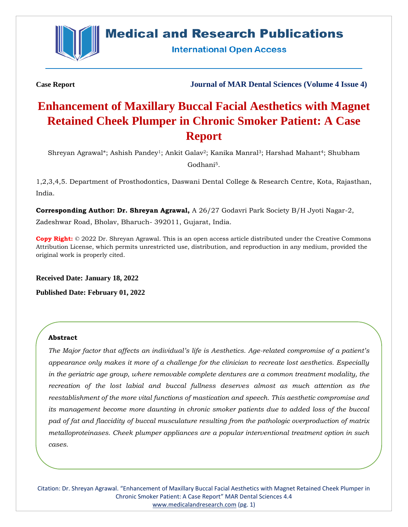

## **Medical and Research Publications**

**International Open Access** 

**Case Report Journal of MAR Dental Sciences (Volume 4 Issue 4)**

# **Enhancement of Maxillary Buccal Facial Aesthetics with Magnet Retained Cheek Plumper in Chronic Smoker Patient: A Case Report**

Shreyan Agrawal\*; Ashish Pandey<sup>1</sup>; Ankit Galav<sup>2</sup>; Kanika Manral<sup>3</sup>; Harshad Mahant<sup>4</sup>; Shubham Godhani5.

1,2,3,4,5. Department of Prosthodontics, Daswani Dental College & Research Centre, Kota, Rajasthan, India.

**Corresponding Author: Dr. Shreyan Agrawal,** A 26/27 Godavri Park Society B/H Jyoti Nagar-2, Zadeshwar Road, Bholav, Bharuch- 392011, Gujarat, India.

**Copy Right:** © 2022 Dr. Shreyan Agrawal. This is an open access article distributed under the Creative Commons Attribution License, which permits unrestricted use, distribution, and reproduction in any medium, provided the original work is properly cited.

**Received Date: January 18, 2022**

**Published Date: February 01, 2022**

#### **Abstract**

*The Major factor that affects an individual's life is Aesthetics. Age-related compromise of a patient's appearance only makes it more of a challenge for the clinician to recreate lost aesthetics. Especially in the geriatric age group, where removable complete dentures are a common treatment modality, the recreation of the lost labial and buccal fullness deserves almost as much attention as the reestablishment of the more vital functions of mastication and speech. This aesthetic compromise and its management become more daunting in chronic smoker patients due to added loss of the buccal pad of fat and flaccidity of buccal musculature resulting from the pathologic overproduction of matrix metalloproteinases. Cheek plumper appliances are a popular interventional treatment option in such cases.*

Citation: Dr. Shreyan Agrawal. "Enhancement of Maxillary Buccal Facial Aesthetics with Magnet Retained Cheek Plumper in Chronic Smoker Patient: A Case Report" MAR Dental Sciences 4.4 [www.medicalandresearch.com](http://www.medicalandresearch.com/) (pg. 1)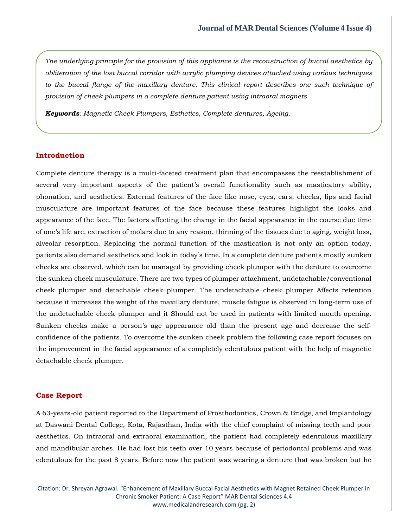*The underlying principle for the provision of this appliance is the reconstruction of buccal aesthetics by obliteration of the lost buccal corridor with acrylic plumping devices attached using various techniques to the buccal flange of the maxillary denture. This clinical report describes one such technique of provision of cheek plumpers in a complete denture patient using intraoral magnets.*

*Keywords: Magnetic Cheek Plumpers, Esthetics, Complete dentures, Ageing.* 

## **Introduction**

Complete denture therapy is a multi-faceted treatment plan that encompasses the reestablishment of several very important aspects of the patient's overall functionality such as masticatory ability, phonation, and aesthetics. External features of the face like nose, eyes, ears, cheeks, lips and facial musculature are important features of the face because these features highlight the looks and appearance of the face. The factors affecting the change in the facial appearance in the course due time of one's life are, extraction of molars due to any reason, thinning of the tissues due to aging, weight loss, alveolar resorption. Replacing the normal function of the mastication is not only an option today, patients also demand aesthetics and look in today's time. In a complete denture patients mostly sunken cheeks are observed, which can be managed by providing cheek plumper with the denture to overcome the sunken cheek musculature. There are two types of plumper attachment, undetachable/conventional cheek plumper and detachable cheek plumper. The undetachable cheek plumper Affects retention because it increases the weight of the maxillary denture, muscle fatigue is observed in long-term use of the undetachable cheek plumper and it Should not be used in patients with limited mouth opening. Sunken cheeks make a person's age appearance old than the present age and decrease the selfconfidence of the patients. To overcome the sunken cheek problem the following case report focuses on the improvement in the facial appearance of a completely edentulous patient with the help of magnetic detachable cheek plumper.

#### **Case Report**

A 63-years-old patient reported to the Department of Prosthodontics, Crown & Bridge, and Implantology at Daswani Dental College, Kota, Rajasthan, India with the chief complaint of missing teeth and poor aesthetics. On intraoral and extraoral examination, the patient had completely edentulous maxillary and mandibular arches. He had lost his teeth over 10 years because of periodontal problems and was edentulous for the past 8 years. Before now the patient was wearing a denture that was broken but he

Citation: Dr. Shreyan Agrawal. "Enhancement of Maxillary Buccal Facial Aesthetics with Magnet Retained Cheek Plumper in Chronic Smoker Patient: A Case Report" MAR Dental Sciences 4.4 [www.medicalandresearch.com](http://www.medicalandresearch.com/) (pg. 2)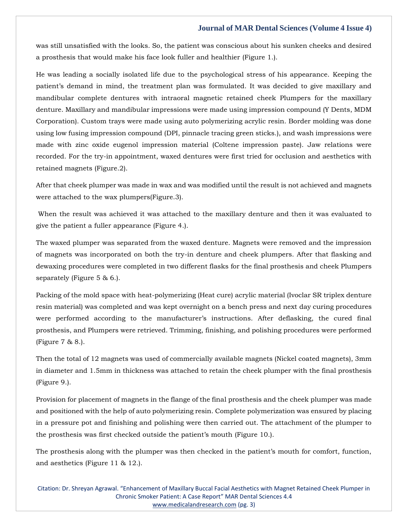was still unsatisfied with the looks. So, the patient was conscious about his sunken cheeks and desired a prosthesis that would make his face look fuller and healthier (Figure 1.).

He was leading a socially isolated life due to the psychological stress of his appearance. Keeping the patient's demand in mind, the treatment plan was formulated. It was decided to give maxillary and mandibular complete dentures with intraoral magnetic retained cheek Plumpers for the maxillary denture. Maxillary and mandibular impressions were made using impression compound (Y Dents, MDM Corporation). Custom trays were made using auto polymerizing acrylic resin. Border molding was done using low fusing impression compound (DPI, pinnacle tracing green sticks.), and wash impressions were made with zinc oxide eugenol impression material (Coltene impression paste). Jaw relations were recorded. For the try-in appointment, waxed dentures were first tried for occlusion and aesthetics with retained magnets (Figure.2).

After that cheek plumper was made in wax and was modified until the result is not achieved and magnets were attached to the wax plumpers(Figure.3).

When the result was achieved it was attached to the maxillary denture and then it was evaluated to give the patient a fuller appearance (Figure 4.).

The waxed plumper was separated from the waxed denture. Magnets were removed and the impression of magnets was incorporated on both the try-in denture and cheek plumpers. After that flasking and dewaxing procedures were completed in two different flasks for the final prosthesis and cheek Plumpers separately (Figure 5 & 6.).

Packing of the mold space with heat-polymerizing (Heat cure) acrylic material (Ivoclar SR triplex denture resin material) was completed and was kept overnight on a bench press and next day curing procedures were performed according to the manufacturer's instructions. After deflasking, the cured final prosthesis, and Plumpers were retrieved. Trimming, finishing, and polishing procedures were performed (Figure 7 & 8.).

Then the total of 12 magnets was used of commercially available magnets (Nickel coated magnets), 3mm in diameter and 1.5mm in thickness was attached to retain the cheek plumper with the final prosthesis (Figure 9.).

Provision for placement of magnets in the flange of the final prosthesis and the cheek plumper was made and positioned with the help of auto polymerizing resin. Complete polymerization was ensured by placing in a pressure pot and finishing and polishing were then carried out. The attachment of the plumper to the prosthesis was first checked outside the patient's mouth (Figure 10.).

The prosthesis along with the plumper was then checked in the patient's mouth for comfort, function, and aesthetics (Figure 11 & 12.).

Citation: Dr. Shreyan Agrawal. "Enhancement of Maxillary Buccal Facial Aesthetics with Magnet Retained Cheek Plumper in Chronic Smoker Patient: A Case Report" MAR Dental Sciences 4.4 [www.medicalandresearch.com](http://www.medicalandresearch.com/) (pg. 3)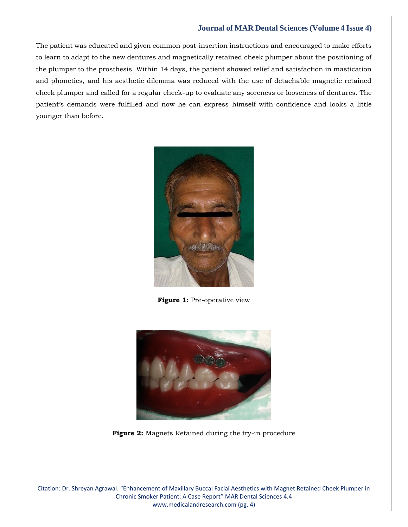The patient was educated and given common post-insertion instructions and encouraged to make efforts to learn to adapt to the new dentures and magnetically retained cheek plumper about the positioning of the plumper to the prosthesis. Within 14 days, the patient showed relief and satisfaction in mastication and phonetics, and his aesthetic dilemma was reduced with the use of detachable magnetic retained cheek plumper and called for a regular check-up to evaluate any soreness or looseness of dentures. The patient's demands were fulfilled and now he can express himself with confidence and looks a little younger than before.



**Figure 1:** Pre-operative view



**Figure 2:** Magnets Retained during the try-in procedure

Citation: Dr. Shreyan Agrawal. "Enhancement of Maxillary Buccal Facial Aesthetics with Magnet Retained Cheek Plumper in Chronic Smoker Patient: A Case Report" MAR Dental Sciences 4.4 [www.medicalandresearch.com](http://www.medicalandresearch.com/) (pg. 4)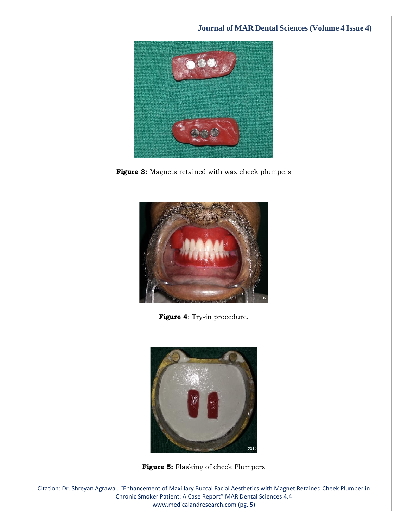

**Figure 3:** Magnets retained with wax cheek plumpers



**Figure 4**: Try-in procedure.



**Figure 5:** Flasking of cheek Plumpers

Citation: Dr. Shreyan Agrawal. "Enhancement of Maxillary Buccal Facial Aesthetics with Magnet Retained Cheek Plumper in Chronic Smoker Patient: A Case Report" MAR Dental Sciences 4.4 [www.medicalandresearch.com](http://www.medicalandresearch.com/) (pg. 5)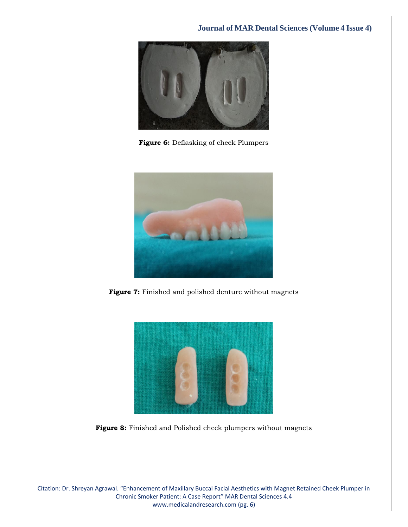

**Figure 6:** Deflasking of cheek Plumpers



**Figure 7:** Finished and polished denture without magnets



**Figure 8:** Finished and Polished cheek plumpers without magnets

Citation: Dr. Shreyan Agrawal. "Enhancement of Maxillary Buccal Facial Aesthetics with Magnet Retained Cheek Plumper in Chronic Smoker Patient: A Case Report" MAR Dental Sciences 4.4 [www.medicalandresearch.com](http://www.medicalandresearch.com/) (pg. 6)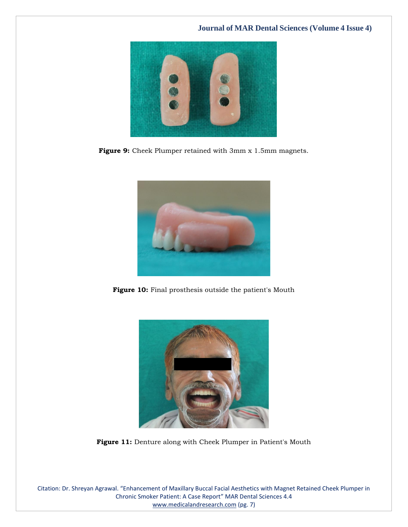

Figure 9: Cheek Plumper retained with 3mm x 1.5mm magnets.



Figure 10: Final prosthesis outside the patient's Mouth



Figure 11: Denture along with Cheek Plumper in Patient's Mouth

Citation: Dr. Shreyan Agrawal. "Enhancement of Maxillary Buccal Facial Aesthetics with Magnet Retained Cheek Plumper in Chronic Smoker Patient: A Case Report" MAR Dental Sciences 4.4 [www.medicalandresearch.com](http://www.medicalandresearch.com/) (pg. 7)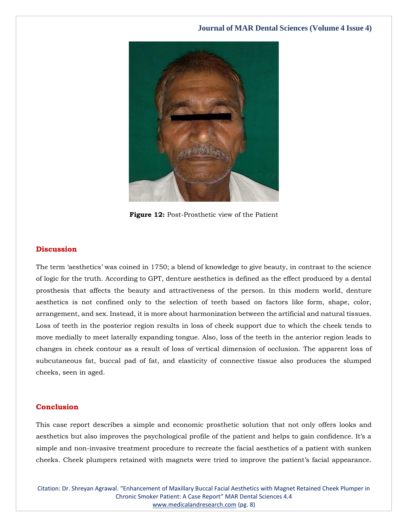

**Figure 12:** Post-Prosthetic view of the Patient

## **Discussion**

The term 'aesthetics' was coined in 1750; a blend of knowledge to give beauty, in contrast to the science of logic for the truth. According to GPT, denture aesthetics is defined as the effect produced by a dental prosthesis that affects the beauty and attractiveness of the person. In this modern world, denture aesthetics is not confined only to the selection of teeth based on factors like form, shape, color, arrangement, and sex. Instead, it is more about harmonization between the artificial and natural tissues. Loss of teeth in the posterior region results in loss of cheek support due to which the cheek tends to move medially to meet laterally expanding tongue. Also, loss of the teeth in the anterior region leads to changes in cheek contour as a result of loss of vertical dimension of occlusion. The apparent loss of subcutaneous fat, buccal pad of fat, and elasticity of connective tissue also produces the slumped cheeks, seen in aged.

## **Conclusion**

This case report describes a simple and economic prosthetic solution that not only offers looks and aesthetics but also improves the psychological profile of the patient and helps to gain confidence. It's a simple and non-invasive treatment procedure to recreate the facial aesthetics of a patient with sunken cheeks. Cheek plumpers retained with magnets were tried to improve the patient's facial appearance.

Citation: Dr. Shreyan Agrawal. "Enhancement of Maxillary Buccal Facial Aesthetics with Magnet Retained Cheek Plumper in Chronic Smoker Patient: A Case Report" MAR Dental Sciences 4.4 [www.medicalandresearch.com](http://www.medicalandresearch.com/) (pg. 8)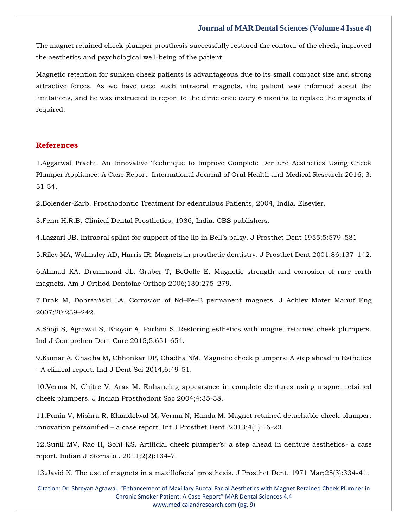The magnet retained cheek plumper prosthesis successfully restored the contour of the cheek, improved the aesthetics and psychological well-being of the patient.

Magnetic retention for sunken cheek patients is advantageous due to its small compact size and strong attractive forces. As we have used such intraoral magnets, the patient was informed about the limitations, and he was instructed to report to the clinic once every 6 months to replace the magnets if required.

#### **References**

1[.Aggarwal Prachi. An Innovative Technique to Improve Complete Denture Aesthetics Using Cheek](https://www.google.com/search?q=An+Innovative+Technique+to+Improve+Complete+Denture+Aesthetics+Using+Cheek+Plumper+Appliance%3A+A+Case+Report&oq=An+Innovative+Technique+to+Improve+Complete+Denture+Aesthetics+Using+Cheek+Plumper+Appliance%3A+A+Case+Report&aqs=chrome..69i57.468j0j7&sourceid=chrome&ie=UTF-8)  [Plumper Appliance: A Case Report International Journal of Oral Health and](https://www.google.com/search?q=An+Innovative+Technique+to+Improve+Complete+Denture+Aesthetics+Using+Cheek+Plumper+Appliance%3A+A+Case+Report&oq=An+Innovative+Technique+to+Improve+Complete+Denture+Aesthetics+Using+Cheek+Plumper+Appliance%3A+A+Case+Report&aqs=chrome..69i57.468j0j7&sourceid=chrome&ie=UTF-8) Medical Research 2016; 3: [51-54.](https://www.google.com/search?q=An+Innovative+Technique+to+Improve+Complete+Denture+Aesthetics+Using+Cheek+Plumper+Appliance%3A+A+Case+Report&oq=An+Innovative+Technique+to+Improve+Complete+Denture+Aesthetics+Using+Cheek+Plumper+Appliance%3A+A+Case+Report&aqs=chrome..69i57.468j0j7&sourceid=chrome&ie=UTF-8)

2[.Bolender-Zarb. Prosthodontic Treatment for edentulous Patients, 2004, India. Elsevier.](https://www.google.com/search?q=Prosthodontic+Treatment+for+edentulous+Patients%2C+2004%2C+India&sxsrf=AOaemvLOgLELR1pb8jI9B3tCCM_Phhmbxg%3A1642748684942&ei=DFvqYaP5ONWaseMP9ayFkA0&ved=0ahUKEwijr8jeo8L1AhVVTWwGHXVWAdIQ4dUDCA4&uact=5&oq=Prosthodontic+Treatment+for+edentulous+Patients%2C+2004%2C+India&gs_lcp=Cgdnd3Mtd2l6EAMyBQgAEM0CMgUIABDNAjoHCCMQ6gIQJ0oECEEYAEoECEYYAFCpBlipBmCIEmgBcAB4AIAB8QGIAfEBkgEDMi0xmAEAoAEBoAECsAEKwAEB&sclient=gws-wiz)

3[.Fenn H.R.B, Clinical Dental Prosthetics, 1986, India. CBS publishers.](https://www.google.com/search?q=Clinical+Dental+Prosthetics%2C+1986%2C+India&sxsrf=AOaemvIQeF37dGxrspaKQGNSqfwriWQqcg%3A1642748709918&ei=JVvqYYO7N5GTseMPi8Ss2A0&ved=0ahUKEwjD4bzqo8L1AhWRSWwGHQsiC9sQ4dUDCA4&uact=5&oq=Clinical+Dental+Prosthetics%2C+1986%2C+India&gs_lcp=Cgdnd3Mtd2l6EAM6BwgjEOoCECdKBAhBGABKBAhGGABQpAZYpAZgvAhoAXACeACAAYUCiAGFApIBAzItMZgBAKABAaABArABCsABAQ&sclient=gws-wiz)

4[.Lazzari JB. Intraoral splint for support of the lip in B](https://www.google.com/search?q=Intraoral+splint+for+support+of+the+lip+in+Bell%E2%80%99s+palsy&sxsrf=AOaemvLzwZ4ixdBdIoNVqmp1Gfuwjaf_gw%3A1642748734454&ei=PlvqYb6UG7qZseMPgrO9wAM&ved=0ahUKEwi-q5b2o8L1AhW6TGwGHYJZDzgQ4dUDCA4&uact=5&oq=Intraoral+splint+for+support+of+the+lip+in+Bell%E2%80%99s+palsy&gs_lcp=Cgdnd3Mtd2l6EAM6BwgjEOoCECdKBAhBGABKBAhGGABQ7AZY7AZgoQloAXAAeACAAfwBiAH8AZIBAzItMZgBAKABAaABArABCsABAQ&sclient=gws-wiz)ell's palsy. J Prosthet Dent 1955;5:579–581

5[.Riley MA, Walmsley AD, Harris IR. Magnets in prosthetic dentistry. J Prosthet Dent 2001;86:137](https://www.google.com/search?q=Magnets+in+prosthetic+dentistry&sxsrf=AOaemvLxybAWltvMVm_OU8U1yh8xO4BCUA%3A1642748757683&ei=VVvqYYf4KKKgseMPw7mKoAg&ved=0ahUKEwjH9p-BpML1AhUiUGwGHcOcAoQQ4dUDCA4&uact=5&oq=Magnets+in+prosthetic+dentistry&gs_lcp=Cgdnd3Mtd2l6EAMyBQgAEIAEOgcIIxDqAhAnSgQIQRgASgQIRhgAUKgGWKgGYOIIaAFwAHgAgAHVAYgB1QGSAQMyLTGYAQCgAQGgAQKwAQrAAQE&sclient=gws-wiz)–142.

6[.Ahmad KA, Drummond JL, Graber T, BeGolle E. Magnetic strength and corrosion of rare earth](https://www.google.com/search?q=Magnetic+strength+and+corrosion+of+rare+earth+magnets&sxsrf=AOaemvKkD6zXiDOKyx1maHleHjvbBdMf8Q%3A1642748779700&ei=a1vqYbSFKsGXseMPmuOI4AY&ved=0ahUKEwj05t-LpML1AhXBS2wGHZoxAmwQ4dUDCA4&uact=5&oq=Magnetic+strength+and+corrosion+of+rare+earth+magnets&gs_lcp=Cgdnd3Mtd2l6EAM6BwgjEOoCECdKBAhBGABKBAhGGABQ-QVY-QVgxwhoAXACeACAAfYBiAH2AZIBAzItMZgBAKABAaABArABCsABAQ&sclient=gws-wiz)  [magnets. Am J Orthod Dentofac Orthop 2006;130:275](https://www.google.com/search?q=Magnetic+strength+and+corrosion+of+rare+earth+magnets&sxsrf=AOaemvKkD6zXiDOKyx1maHleHjvbBdMf8Q%3A1642748779700&ei=a1vqYbSFKsGXseMPmuOI4AY&ved=0ahUKEwj05t-LpML1AhXBS2wGHZoxAmwQ4dUDCA4&uact=5&oq=Magnetic+strength+and+corrosion+of+rare+earth+magnets&gs_lcp=Cgdnd3Mtd2l6EAM6BwgjEOoCECdKBAhBGABKBAhGGABQ-QVY-QVgxwhoAXACeACAAfYBiAH2AZIBAzItMZgBAKABAaABArABCsABAQ&sclient=gws-wiz)–279.

7.Drak M, Dobrzański LA. Corrosion of Nd–Fe–[B permanent magnets. J Achiev Mater Manuf Eng](https://www.google.com/search?q=Corrosion+of+Nd%E2%80%93Fe%E2%80%93B+permanent+magnets&sxsrf=AOaemvKdHHpXGBvcGDU7YRDAOXW48kvEjg%3A1642748800212&ei=gFvqYdCvDOCfseMPkeKY8AI&ved=0ahUKEwjQ78OVpML1AhXgT2wGHRExBi4Q4dUDCA4&uact=5&oq=Corrosion+of+Nd%E2%80%93Fe%E2%80%93B+permanent+magnets&gs_lcp=Cgdnd3Mtd2l6EAMyCAghEBYQHRAeMggIIRAWEB0QHjoHCCMQ6gIQJ0oECEEYAEoECEYYAFCiBliiBmDaCGgBcAJ4AIABtAGIAbQBkgEDMC4xmAEAoAEBoAECsAEKwAEB&sclient=gws-wiz)  [2007;20:239](https://www.google.com/search?q=Corrosion+of+Nd%E2%80%93Fe%E2%80%93B+permanent+magnets&sxsrf=AOaemvKdHHpXGBvcGDU7YRDAOXW48kvEjg%3A1642748800212&ei=gFvqYdCvDOCfseMPkeKY8AI&ved=0ahUKEwjQ78OVpML1AhXgT2wGHRExBi4Q4dUDCA4&uact=5&oq=Corrosion+of+Nd%E2%80%93Fe%E2%80%93B+permanent+magnets&gs_lcp=Cgdnd3Mtd2l6EAMyCAghEBYQHRAeMggIIRAWEB0QHjoHCCMQ6gIQJ0oECEEYAEoECEYYAFCiBliiBmDaCGgBcAJ4AIABtAGIAbQBkgEDMC4xmAEAoAEBoAECsAEKwAEB&sclient=gws-wiz)–242.

8[.Saoji S, Agrawal S, Bhoyar A, Parlani S. Restoring esthetics with magnet retained cheek plumpers.](https://www.google.com/search?q=Restoring+esthetics+with+magnet+retained+cheek+plumpers&sxsrf=AOaemvL6ymBno77tQ2g7Ku6ZuJ4eJmw6iQ%3A1642748818214&ei=klvqYdqxDJSRseMP5p65kAM&ved=0ahUKEwjawo6epML1AhWUSGwGHWZPDjIQ4dUDCA4&uact=5&oq=Restoring+esthetics+with+magnet+retained+cheek+plumpers&gs_lcp=Cgdnd3Mtd2l6EAM6BwgjEOoCECdKBAhBGABKBAhGGABQiQZYiQZgiQloAXACeACAAbUBiAG1AZIBAzAuMZgBAKABAaABArABCsABAQ&sclient=gws-wiz)  [Ind J Comprehen Dent Care 2015;5:651-654.](https://www.google.com/search?q=Restoring+esthetics+with+magnet+retained+cheek+plumpers&sxsrf=AOaemvL6ymBno77tQ2g7Ku6ZuJ4eJmw6iQ%3A1642748818214&ei=klvqYdqxDJSRseMP5p65kAM&ved=0ahUKEwjawo6epML1AhWUSGwGHWZPDjIQ4dUDCA4&uact=5&oq=Restoring+esthetics+with+magnet+retained+cheek+plumpers&gs_lcp=Cgdnd3Mtd2l6EAM6BwgjEOoCECdKBAhBGABKBAhGGABQiQZYiQZgiQloAXACeACAAbUBiAG1AZIBAzAuMZgBAKABAaABArABCsABAQ&sclient=gws-wiz)

9[.Kumar A, Chadha M, Chhonkar DP, Chadha NM. Magnetic cheek plumpers: A step ahead in Esthetics](https://www.google.com/search?q=Magnetic+cheek+plumpers%3A+A+step+ahead+in+Esthetics+-+A+clinical+report&sxsrf=AOaemvIoq-qxETzubPHwMDy-RRWQDWzQ7g%3A1642748836723&ei=pFvqYZetK9ygseMPva2M6Ac&ved=0ahUKEwiXj_impML1AhVcUGwGHb0WA30Q4dUDCA4&uact=5&oq=Magnetic+cheek+plumpers%3A+A+step+ahead+in+Esthetics+-+A+clinical+report&gs_lcp=Cgdnd3Mtd2l6EAM6BwgjEOoCECdKBAhBGABKBAhGGABQ8gVY8gVgiAhoAXACeACAAboBiAG6AZIBAzAuMZgBAKABAaABArABCsABAQ&sclient=gws-wiz)  - [A clinical report. Ind J Dent Sci 2014;6:49-51.](https://www.google.com/search?q=Magnetic+cheek+plumpers%3A+A+step+ahead+in+Esthetics+-+A+clinical+report&sxsrf=AOaemvIoq-qxETzubPHwMDy-RRWQDWzQ7g%3A1642748836723&ei=pFvqYZetK9ygseMPva2M6Ac&ved=0ahUKEwiXj_impML1AhVcUGwGHb0WA30Q4dUDCA4&uact=5&oq=Magnetic+cheek+plumpers%3A+A+step+ahead+in+Esthetics+-+A+clinical+report&gs_lcp=Cgdnd3Mtd2l6EAM6BwgjEOoCECdKBAhBGABKBAhGGABQ8gVY8gVgiAhoAXACeACAAboBiAG6AZIBAzAuMZgBAKABAaABArABCsABAQ&sclient=gws-wiz)

10[.Verma N, Chitre V, Aras M. Enhancing appearance in complete dentures using magnet retained](https://www.google.com/search?q=Enhancing+appearance+in+complete+dentures+using+magnet+retained+cheek+plumpers&sxsrf=AOaemvLEUXngfEmEQi4vb-dOtU_297xNVg%3A1642748856466&ei=uFvqYbaBHNmhseMPsMGf8AY&ved=0ahUKEwi2va2wpML1AhXZUGwGHbDgB24Q4dUDCA4&uact=5&oq=Enhancing+appearance+in+complete+dentures+using+magnet+retained+cheek+plumpers&gs_lcp=Cgdnd3Mtd2l6EAM6BwgjEOoCECdKBAhBGABKBAhGGABQggZYggZghwloAXACeACAAcQBiAHEAZIBAzAuMZgBAKABAaABArABCsABAQ&sclient=gws-wiz)  [cheek plumpers. J Indian Prosthodont Soc 2004;4:35-38.](https://www.google.com/search?q=Enhancing+appearance+in+complete+dentures+using+magnet+retained+cheek+plumpers&sxsrf=AOaemvLEUXngfEmEQi4vb-dOtU_297xNVg%3A1642748856466&ei=uFvqYbaBHNmhseMPsMGf8AY&ved=0ahUKEwi2va2wpML1AhXZUGwGHbDgB24Q4dUDCA4&uact=5&oq=Enhancing+appearance+in+complete+dentures+using+magnet+retained+cheek+plumpers&gs_lcp=Cgdnd3Mtd2l6EAM6BwgjEOoCECdKBAhBGABKBAhGGABQggZYggZghwloAXACeACAAcQBiAHEAZIBAzAuMZgBAKABAaABArABCsABAQ&sclient=gws-wiz)

11[.Punia V, Mishra R, Khandelwal M, Verma N, Handa M. Magnet retained detachable cheek plumper:](https://www.google.com/search?q=Magnet+retained+detachable+cheek+plumper%3A+innovation+personified+%E2%80%93+a+case+report&sxsrf=AOaemvIkReFwiWQGFccT30EYmmPnfKBaIg%3A1642748880148&ei=0FvqYdS5CI2TseMPw6Wv4Ag&ved=0ahUKEwjU4dK7pML1AhWNSWwGHcPSC4wQ4dUDCA4&uact=5&oq=Magnet+retained+detachable+cheek+plumper%3A+innovation+personified+%E2%80%93+a+case+report&gs_lcp=Cgdnd3Mtd2l6EAM6BwgjEOoCECdKBAhBGABKBAhGGABQjQZYjQZguwhoAXACeACAAb4BiAG-AZIBAzAuMZgBAKABAaABArABCsABAQ&sclient=gws-wiz)  innovation personified – [a case report. Int J Prosthet Dent. 2013;4\(1\):16-20.](https://www.google.com/search?q=Magnet+retained+detachable+cheek+plumper%3A+innovation+personified+%E2%80%93+a+case+report&sxsrf=AOaemvIkReFwiWQGFccT30EYmmPnfKBaIg%3A1642748880148&ei=0FvqYdS5CI2TseMPw6Wv4Ag&ved=0ahUKEwjU4dK7pML1AhWNSWwGHcPSC4wQ4dUDCA4&uact=5&oq=Magnet+retained+detachable+cheek+plumper%3A+innovation+personified+%E2%80%93+a+case+report&gs_lcp=Cgdnd3Mtd2l6EAM6BwgjEOoCECdKBAhBGABKBAhGGABQjQZYjQZguwhoAXACeACAAb4BiAG-AZIBAzAuMZgBAKABAaABArABCsABAQ&sclient=gws-wiz)

12.Su[nil MV, Rao H, Sohi KS. Artificial cheek plumper's: a step ahead in denture aesthetics](https://www.google.com/search?q=Artificial+cheek+plumper%E2%80%99s%3A+a+step+ahead+in+denture+aesthetics-+a+case+report&sxsrf=AOaemvJhq6Pra7vZWeXju86m_48ftFX3eg%3A1642748921955&ei=-VvqYb_TOaqD4-EPpbinkA4&ved=0ahUKEwj_s8rPpML1AhWqwTgGHSXcCeIQ4dUDCA4&uact=5&oq=Artificial+cheek+plumper%E2%80%99s%3A+a+step+ahead+in+denture+aesthetics-+a+case+report&gs_lcp=Cgdnd3Mtd2l6EAM6BwgjEOoCECdKBAhBGABKBAhGGABQlwZYlwZgzAhoAXACeACAAcIBiAHCAZIBAzAuMZgBAKABAaABArABCsABAQ&sclient=gws-wiz)- a case [report. Indian J Stomatol. 2011;2\(2\):134-7.](https://www.google.com/search?q=Artificial+cheek+plumper%E2%80%99s%3A+a+step+ahead+in+denture+aesthetics-+a+case+report&sxsrf=AOaemvJhq6Pra7vZWeXju86m_48ftFX3eg%3A1642748921955&ei=-VvqYb_TOaqD4-EPpbinkA4&ved=0ahUKEwj_s8rPpML1AhWqwTgGHSXcCeIQ4dUDCA4&uact=5&oq=Artificial+cheek+plumper%E2%80%99s%3A+a+step+ahead+in+denture+aesthetics-+a+case+report&gs_lcp=Cgdnd3Mtd2l6EAM6BwgjEOoCECdKBAhBGABKBAhGGABQlwZYlwZgzAhoAXACeACAAcIBiAHCAZIBAzAuMZgBAKABAaABArABCsABAQ&sclient=gws-wiz)

13[.Javid N. The use of magnets in a maxillofacial prosthesis. J Prosthet Dent. 1971 Mar;25\(3\):334-41.](https://www.google.com/search?q=The+use+of+magnets+in+a+maxillofacial+prosthesis&sxsrf=AOaemvJjALQPoeJuDWe6kRKZtvpoYEE-WQ%3A1642748943674&ei=D1zqYZrhKKmY4-EP5ouO8AQ&ved=0ahUKEwjapPjZpML1AhUpzDgGHeaFA04Q4dUDCA4&uact=5&oq=The+use+of+magnets+in+a+maxillofacial+prosthesis&gs_lcp=Cgdnd3Mtd2l6EAM6BwgjEOoCECdKBAhBGABKBAhGGABQsgVYsgVg5AdoAXACeACAAfcBiAH3AZIBAzItMZgBAKABAaABArABCsABAQ&sclient=gws-wiz)

Citation: Dr. Shreyan Agrawal. "Enhancement of Maxillary Buccal Facial Aesthetics with Magnet Retained Cheek Plumper in Chronic Smoker Patient: A Case Report" MAR Dental Sciences 4.4 [www.medicalandresearch.com](http://www.medicalandresearch.com/) (pg. 9)